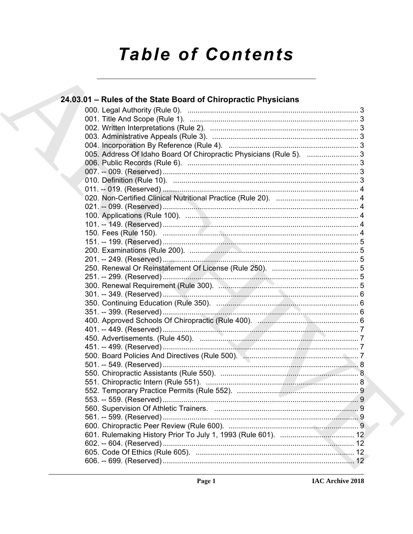# **Table of Contents**

| 24.03.01 – Rules of the State Board of Chiropractic Physicians      |
|---------------------------------------------------------------------|
|                                                                     |
|                                                                     |
|                                                                     |
|                                                                     |
|                                                                     |
| 005. Address Of Idaho Board Of Chiropractic Physicians (Rule 5).  3 |
|                                                                     |
|                                                                     |
|                                                                     |
|                                                                     |
|                                                                     |
|                                                                     |
|                                                                     |
|                                                                     |
|                                                                     |
|                                                                     |
|                                                                     |
|                                                                     |
|                                                                     |
|                                                                     |
|                                                                     |
|                                                                     |
|                                                                     |
|                                                                     |
|                                                                     |
|                                                                     |
|                                                                     |
|                                                                     |
|                                                                     |
|                                                                     |
|                                                                     |
|                                                                     |
|                                                                     |
|                                                                     |
|                                                                     |
|                                                                     |
|                                                                     |
|                                                                     |
|                                                                     |
|                                                                     |
|                                                                     |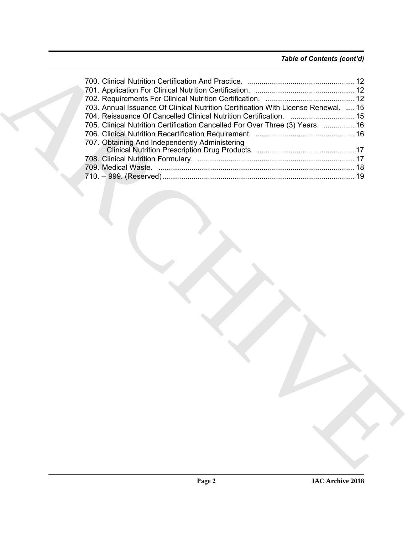### *Table of Contents (cont'd)*

| 703. Annual Issuance Of Clinical Nutrition Certification With License Renewal.  15 |
|------------------------------------------------------------------------------------|
| 704. Reissuance Of Cancelled Clinical Nutrition Certification.  15                 |
| 705. Clinical Nutrition Certification Cancelled For Over Three (3) Years.  16      |
|                                                                                    |
| 707. Obtaining And Independently Administering                                     |
|                                                                                    |
|                                                                                    |
|                                                                                    |
|                                                                                    |
|                                                                                    |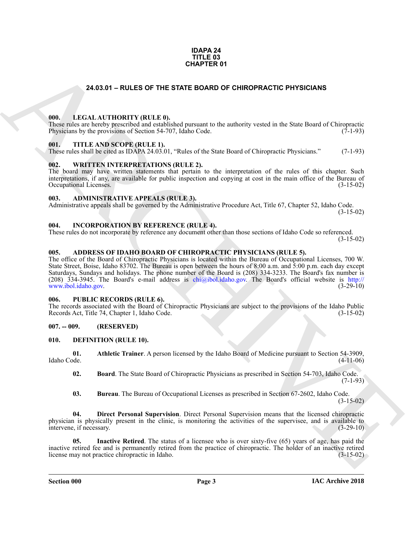#### **IDAPA 24 TITLE 03 CHAPTER 01**

#### **24.03.01 – RULES OF THE STATE BOARD OF CHIROPRACTIC PHYSICIANS**

#### <span id="page-2-19"></span><span id="page-2-1"></span><span id="page-2-0"></span>**000. LEGAL AUTHORITY (RULE 0).**

These rules are hereby prescribed and established pursuant to the authority vested in the State Board of Chiropractic Physicians by the provisions of Section 54-707, Idaho Code. (7-1-93)

#### <span id="page-2-21"></span><span id="page-2-2"></span>**001. TITLE AND SCOPE (RULE 1).**

These rules shall be cited as IDAPA 24.03.01, "Rules of the State Board of Chiropractic Physicians." (7-1-93)

#### <span id="page-2-22"></span><span id="page-2-3"></span>**002. WRITTEN INTERPRETATIONS (RULE 2).**

The board may have written statements that pertain to the interpretation of the rules of this chapter. Such interpretations, if any, are available for public inspection and copying at cost in the main office of the Bureau of Occupational Licenses. (3-15-02) Occupational Licenses.

#### <span id="page-2-11"></span><span id="page-2-4"></span>**003. ADMINISTRATIVE APPEALS (RULE 3).**

Administrative appeals shall be governed by the Administrative Procedure Act, Title 67, Chapter 52, Idaho Code. (3-15-02)

#### <span id="page-2-18"></span><span id="page-2-5"></span>**004. INCORPORATION BY REFERENCE (RULE 4).**

These rules do not incorporate by reference any document other than those sections of Idaho Code so referenced. (3-15-02)

#### <span id="page-2-10"></span><span id="page-2-6"></span>**005. ADDRESS OF IDAHO BOARD OF CHIROPRACTIC PHYSICIANS (RULE 5).**

**[CH](mailto:chi@ibol.idaho.gov)APTER 01**<br> **CHAPTER 01**<br> **CHARCHIVE STATE BOARD OF CHIROPRACTIC PHYSICIANS**<br> **CHARCHIVE STATE BOARD OF CHIROPRACTIC PHYSICIANS**<br>
THE AND SCOPE RELEAT. IN the same of the antivory vested in the same Dart of Chirometers<br> The office of the Board of Chiropractic Physicians is located within the Bureau of Occupational Licenses, 700 W. State Street, Boise, Idaho 83702. The Bureau is open between the hours of 8:00 a.m. and 5:00 p.m. each day except Saturdays, Sundays and holidays. The phone number of the Board is (208) 334-3233. The Board's fax number is (208) 334-3945. The Board's e-mail address is chi $\omega$ ibol.idaho.gov. The Board's official website is http:// www.ibol.idaho.gov. (3-29-10)

#### <span id="page-2-20"></span><span id="page-2-7"></span>**006. PUBLIC RECORDS (RULE 6).**

The records associated with the Board of Chiropractic Physicians are subject to the provisions of the Idaho Public Records Act, Title 74, Chapter 1, Idaho Code. (3-15-02)

#### <span id="page-2-8"></span>**007. -- 009. (RESERVED)**

#### <span id="page-2-12"></span><span id="page-2-9"></span>**010. DEFINITION (RULE 10).**

**01. Athletic Trainer**. A person licensed by the Idaho Board of Medicine pursuant to Section 54-3909, Idaho Code. (4-11-06)

<span id="page-2-14"></span><span id="page-2-13"></span>**02. Board**. The State Board of Chiropractic Physicians as prescribed in Section 54-703, Idaho Code.  $(7-1-93)$ 

<span id="page-2-17"></span><span id="page-2-16"></span><span id="page-2-15"></span>**03. Bureau**. The Bureau of Occupational Licenses as prescribed in Section 67-2602, Idaho Code.  $(3-15-02)$ 

**04. Direct Personal Supervision**. Direct Personal Supervision means that the licensed chiropractic physician is physically present in the clinic, is monitoring the activities of the supervisee, and is available to intervene, if necessary. intervene, if necessary.

**Inactive Retired**. The status of a licensee who is over sixty-five (65) years of age, has paid the inactive retired fee and is permanently retired from the practice of chiropractic. The holder of an inactive retired license may not practice chiropractic in Idaho. (3-15-02)

**Section 000 Page 3**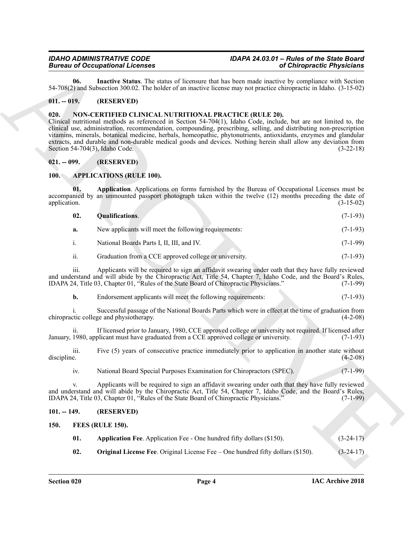<span id="page-3-9"></span>**06. Inactive Status**. The status of licensure that has been made inactive by compliance with Section 54-708(2) and Subsection 300.02. The holder of an inactive license may not practice chiropractic in Idaho. (3-15-02)

#### <span id="page-3-0"></span>**011. -- 019. (RESERVED)**

#### <span id="page-3-13"></span><span id="page-3-1"></span>**020. NON-CERTIFIED CLINICAL NUTRITIONAL PRACTICE (RULE 20).**

Bioreo of Coccaption and External Scheme of the same of Colores Christmas (Figure 2). The same of the same of the same of the same of the same of the same of the same of the same of the same of the same of the same of the Clinical nutritional methods as referenced in Section 54-704(1), Idaho Code, include, but are not limited to, the clinical use, administration, recommendation, compounding, prescribing, selling, and distributing non-prescription vitamins, minerals, botanical medicine, herbals, homeopathic, phytonutrients, antioxidants, enzymes and glandular extracts, and durable and non-durable medical goods and devices. Nothing herein shall allow any deviation from Section 54-704(3), Idaho Code. (3-22-18)

#### <span id="page-3-2"></span>**021. -- 099. (RESERVED)**

#### <span id="page-3-6"></span><span id="page-3-3"></span>**100. APPLICATIONS (RULE 100).**

**01. Application**. Applications on forms furnished by the Bureau of Occupational Licenses must be accompanied by an unmounted passport photograph taken within the twelve (12) months preceding the date of application. (3-15-02)

<span id="page-3-8"></span><span id="page-3-7"></span>

| 02. | <b>Qualifications.</b>                               | $(7-1-93)$ |
|-----|------------------------------------------------------|------------|
|     | New applicants will meet the following requirements: | $(7-1-93)$ |

i. National Boards Parts I, II, III, and IV. (7-1-99)

#### ii. Graduation from a CCE approved college or university. (7-1-93)

iii. Applicants will be required to sign an affidavit swearing under oath that they have fully reviewed and understand and will abide by the Chiropractic Act, Title 54, Chapter 7, Idaho Code, and the Board's Rules,<br>IDAPA 24, Title 03, Chapter 01, "Rules of the State Board of Chiropractic Physicians." (7-1-99) IDAPA 24, Title 03, Chapter 01, "Rules of the State Board of Chiropractic Physicians."

**b.** Endorsement applicants will meet the following requirements: (7-1-93)

i. Successful passage of the National Boards Parts which were in effect at the time of graduation from chiropractic college and physiotherapy. (4-2-08)

ii. If licensed prior to January, 1980, CCE approved college or university not required. If licensed after January, 1980, applicant must have graduated from a CCE approved college or university. (7-1-93)

iii. Five (5) years of consecutive practice immediately prior to application in another state without discipline. (4-2-08)

iv. National Board Special Purposes Examination for Chiropractors (SPEC). (7-1-99)

v. Applicants will be required to sign an affidavit swearing under oath that they have fully reviewed and understand and will abide by the Chiropractic Act, Title 54, Chapter 7, Idaho Code, and the Board's Rules, IDAPA 24, Title 03, Chapter 01, "Rules of the State Board of Chiropractic Physicians." (7-1-99)

#### <span id="page-3-4"></span>**101. -- 149. (RESERVED)**

#### <span id="page-3-5"></span>**150. FEES (RULE 150).**

<span id="page-3-12"></span><span id="page-3-11"></span><span id="page-3-10"></span>

| <b>Application Fee.</b> Application Fee - One hundred fifty dollars (\$150). | $(3-24-17)$ |
|------------------------------------------------------------------------------|-------------|
|                                                                              |             |

**02. Original License Fee**. Original License Fee – One hundred fifty dollars (\$150). (3-24-17)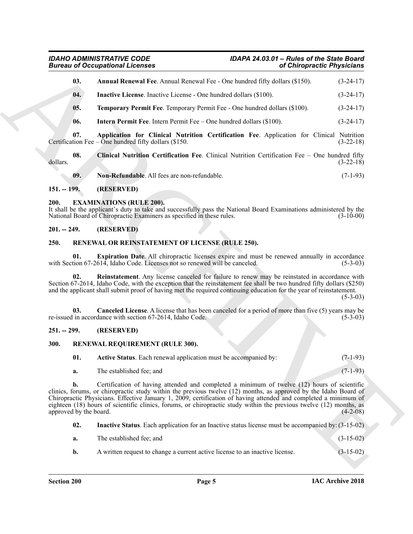<span id="page-4-10"></span><span id="page-4-7"></span>

|                              | <b>Bureau of Occupational Licenses</b><br>of Chiropractic Physicians                                                                                                                                                                                                                                                                                                                                                                                      |             |
|------------------------------|-----------------------------------------------------------------------------------------------------------------------------------------------------------------------------------------------------------------------------------------------------------------------------------------------------------------------------------------------------------------------------------------------------------------------------------------------------------|-------------|
| 03.                          | Annual Renewal Fee. Annual Renewal Fee - One hundred fifty dollars (\$150).                                                                                                                                                                                                                                                                                                                                                                               | $(3-24-17)$ |
| 04.                          | <b>Inactive License.</b> Inactive License - One hundred dollars (\$100).                                                                                                                                                                                                                                                                                                                                                                                  | $(3-24-17)$ |
| 05.                          | Temporary Permit Fee. Temporary Permit Fee - One hundred dollars (\$100).                                                                                                                                                                                                                                                                                                                                                                                 | $(3-24-17)$ |
| 06.                          | <b>Intern Permit Fee.</b> Intern Permit Fee $-$ One hundred dollars (\$100).                                                                                                                                                                                                                                                                                                                                                                              | $(3-24-17)$ |
| 07.                          | Application for Clinical Nutrition Certification Fee. Application for Clinical Nutrition<br>Certification Fee – One hundred fifty dollars $(\$150$ .                                                                                                                                                                                                                                                                                                      | $(3-22-18)$ |
| 08.<br>dollars.              | Clinical Nutrition Certification Fee. Clinical Nutrition Certification Fee - One hundred fifty                                                                                                                                                                                                                                                                                                                                                            | $(3-22-18)$ |
| 09.                          | Non-Refundable. All fees are non-refundable.                                                                                                                                                                                                                                                                                                                                                                                                              | $(7-1-93)$  |
| $151. - 199.$                | (RESERVED)                                                                                                                                                                                                                                                                                                                                                                                                                                                |             |
| 200.                         | <b>EXAMINATIONS (RULE 200).</b><br>It shall be the applicant's duty to take and successfully pass the National Board Examinations administered by the<br>National Board of Chiropractic Examiners as specified in these rules.                                                                                                                                                                                                                            | $(3-10-00)$ |
| $201. - 249.$                | (RESERVED)                                                                                                                                                                                                                                                                                                                                                                                                                                                |             |
| 250.                         | RENEWAL OR REINSTATEMENT OF LICENSE (RULE 250).                                                                                                                                                                                                                                                                                                                                                                                                           |             |
| 01.                          | Expiration Date. All chiropractic licenses expire and must be renewed annually in accordance<br>with Section 67-2614, Idaho Code. Licenses not so renewed will be canceled.                                                                                                                                                                                                                                                                               | $(5-3-03)$  |
| 02.                          | Reinstatement. Any license canceled for failure to renew may be reinstated in accordance with<br>Section 67-2614, Idaho Code, with the exception that the reinstatement fee shall be two hundred fifty dollars (\$250)<br>and the applicant shall submit proof of having met the required continuing education for the year of reinstatement.                                                                                                             | $(5-3-03)$  |
| 03.                          | <b>Canceled License.</b> A license that has been canceled for a period of more than five (5) years may be<br>re-issued in accordance with section 67-2614, Idaho Code.                                                                                                                                                                                                                                                                                    | $(5-3-03)$  |
| $251. - 299.$                | (RESERVED)                                                                                                                                                                                                                                                                                                                                                                                                                                                |             |
| 300.                         | RENEWAL REQUIREMENT (RULE 300).                                                                                                                                                                                                                                                                                                                                                                                                                           |             |
| 01.                          | Active Status. Each renewal application must be accompanied by:                                                                                                                                                                                                                                                                                                                                                                                           | $(7-1-93)$  |
| a.                           | The established fee; and                                                                                                                                                                                                                                                                                                                                                                                                                                  | $(7-1-93)$  |
| b.<br>approved by the board. | Certification of having attended and completed a minimum of twelve (12) hours of scientific<br>clinics, forums, or chiropractic study within the previous twelve (12) months, as approved by the Idaho Board of<br>Chiropractic Physicians. Effective January 1, 2009, certification of having attended and completed a minimum of<br>eighteen (18) hours of scientific clinics, forums, or chiropractic study within the previous twelve (12) months, as | $(4-2-08)$  |
| 02.                          | Inactive Status. Each application for an Inactive status license must be accompanied by: (3-15-02)                                                                                                                                                                                                                                                                                                                                                        |             |
|                              | The established fee; and                                                                                                                                                                                                                                                                                                                                                                                                                                  | $(3-15-02)$ |
| a.                           |                                                                                                                                                                                                                                                                                                                                                                                                                                                           |             |

#### <span id="page-4-13"></span><span id="page-4-12"></span><span id="page-4-11"></span><span id="page-4-9"></span><span id="page-4-8"></span><span id="page-4-0"></span>**151. -- 199. (RESERVED)**

#### <span id="page-4-6"></span><span id="page-4-1"></span>**200. EXAMINATIONS (RULE 200).**

#### <span id="page-4-2"></span>**201. -- 249. (RESERVED)**

#### <span id="page-4-17"></span><span id="page-4-16"></span><span id="page-4-14"></span><span id="page-4-3"></span>**250. RENEWAL OR REINSTATEMENT OF LICENSE (RULE 250).**

#### <span id="page-4-15"></span><span id="page-4-4"></span>**251. -- 299. (RESERVED)**

#### <span id="page-4-5"></span>**300. RENEWAL REQUIREMENT (RULE 300).**

<span id="page-4-19"></span><span id="page-4-18"></span>

<span id="page-4-20"></span>

| a. | The established fee: and | $(3-15-02)$ |
|----|--------------------------|-------------|
|    |                          |             |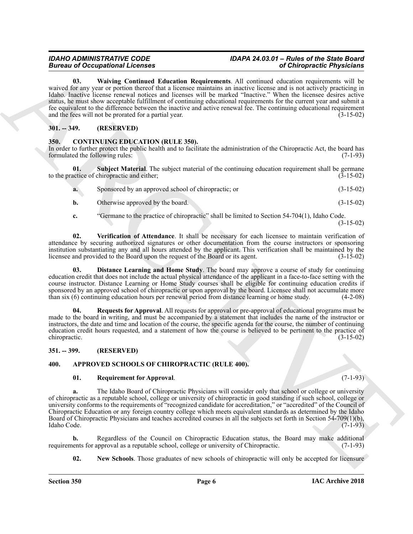### <span id="page-5-12"></span>*IDAHO ADMINISTRATIVE CODE IDAPA 24.03.01 – Rules of the State Board*

Borrow Coccaption II. Continues Material Membranta Material Membranta ARCHIVES (Chinameter Physician Action 1991)<br>
And the state of probabilities of the state of the state of the state of the state of the state of the sta **03. Waiving Continued Education Requirements**. All continued education requirements will be waived for any year or portion thereof that a licensee maintains an inactive license and is not actively practicing in Idaho. Inactive license renewal notices and licenses will be marked "Inactive." When the licensee desires active status, he must show acceptable fulfillment of continuing educational requirements for the current year and submit a fee equivalent to the difference between the inactive and active renewal fee. The continuing educational requirement and the fees will not be prorated for a partial year. (3-15-02)

#### <span id="page-5-0"></span>**301. -- 349. (RESERVED)**

#### <span id="page-5-7"></span><span id="page-5-1"></span>**350. CONTINUING EDUCATION (RULE 350).**

In order to further protect the public health and to facilitate the administration of the Chiropractic Act, the board has formulated the following rules: (7-1-93)

**01. Subject Material**. The subject material of the continuing education requirement shall be germane to the practice of chiropractic and either; (3-15-02)

<span id="page-5-10"></span>

| a. | Sponsored by an approved school of chiropractic; or | $(3-15-02)$ |
|----|-----------------------------------------------------|-------------|
|    | Otherwise approved by the board.                    | $(3-15-02)$ |

<span id="page-5-11"></span>**c.** "Germane to the practice of chiropractic" shall be limited to Section 54-704(1), Idaho Code. (3-15-02)

**02. Verification of Attendance**. It shall be necessary for each licensee to maintain verification of attendance by securing authorized signatures or other documentation from the course instructors or sponsoring institution substantiating any and all hours attended by the applicant. This verification shall be maintained by the licensee and provided to the Board upon the request of the Board or its agent. (3-15-02)

<span id="page-5-8"></span>**03. Distance Learning and Home Study**. The board may approve a course of study for continuing education credit that does not include the actual physical attendance of the applicant in a face-to-face setting with the course instructor. Distance Learning or Home Study courses shall be eligible for continuing education credits if sponsored by an approved school of chiropractic or upon approval by the board. Licensee shall not accumulate more than six (6) continuing education hours per renewal period from distance learning or home study. (4-2-08)

<span id="page-5-9"></span>**04. Requests for Approval**. All requests for approval or pre-approval of educational programs must be made to the board in writing, and must be accompanied by a statement that includes the name of the instructor or instructors, the date and time and location of the course, the specific agenda for the course, the number of continuing education credit hours requested, and a statement of how the course is believed to be pertinent to the practice of chiropractic. (3-15-02)

#### <span id="page-5-2"></span>**351. -- 399. (RESERVED)**

#### <span id="page-5-3"></span>**400. APPROVED SCHOOLS OF CHIROPRACTIC (RULE 400).**

#### <span id="page-5-6"></span><span id="page-5-4"></span>**01. Requirement for Approval**. (7-1-93)

**a.** The Idaho Board of Chiropractic Physicians will consider only that school or college or university of chiropractic as a reputable school, college or university of chiropractic in good standing if such school, college or university conforms to the requirements of "recognized candidate for accreditation," or "accredited" of the Council of Chiropractic Education or any foreign country college which meets equivalent standards as determined by the Idaho Board of Chiropractic Physicians and teaches accredited courses in all the subjects set forth in Section 54-709(1)(b), Idaho Code. (7-1-93)

**b.** Regardless of the Council on Chiropractic Education status, the Board may make additional lents for approval as a reputable school, college or university of Chiropractic. (7-1-93) requirements for approval as a reputable school, college or university of Chiropractic.

<span id="page-5-5"></span>**02.** New Schools. Those graduates of new schools of chiropractic will only be accepted for licensure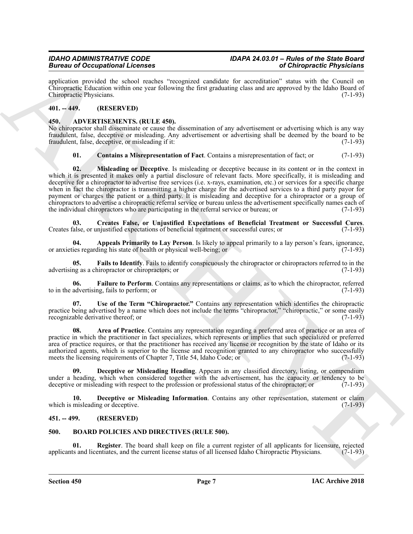application provided the school reaches "recognized candidate for accreditation" status with the Council on Chiropractic Education within one year following the first graduating class and are approved by the Idaho Board of Chiropractic Physicians. (7-1-93)

#### <span id="page-6-0"></span>**401. -- 449. (RESERVED)**

#### <span id="page-6-4"></span><span id="page-6-1"></span>**450. ADVERTISEMENTS. (RULE 450).**

No chiropractor shall disseminate or cause the dissemination of any advertisement or advertising which is any way fraudulent, false, deceptive or misleading. Any advertisement or advertising shall be deemed by the board to be fraudulent, false, deceptive, or misleading if it: (7-1-93)

#### <span id="page-6-13"></span><span id="page-6-7"></span>**01. Contains a Misrepresentation of Fact**. Contains a misrepresentation of fact; or (7-1-93)

Brain of Occupation Scheme states and the system of Orientation Chinamaton Chinamaton Chinamaton Chinamaton Chinamaton Chinamaton Chinamaton Chinamaton Chinamaton Chinamaton Chinamaton Chinamaton Chinamaton Chinamaton Chi **02. Misleading or Deceptive**. Is misleading or deceptive because in its content or in the context in which it is presented it makes only a partial disclosure of relevant facts. More specifically, it is misleading and deceptive for a chiropractor to advertise free services (i.e. x-rays, examination, etc.) or services for a specific charge when in fact the chiropractor is transmitting a higher charge for the advertised services to a third party payor for payment or charges the patient or a third party. It is misleading and deceptive for a chiropractor or a group of chiropractors to advertise a chiropractic referral service or bureau unless the advertisement specifically names each of the individual chiropractors who are participating in the referral service or bureau; or (7-1-93)

<span id="page-6-8"></span>**03. Creates False, or Unjustified Expectations of Beneficial Treatment or Successful Cures**. Creates false, or unjustified expectations of beneficial treatment or successful cures; or (7-1-93)

<span id="page-6-5"></span>**04. Appeals Primarily to Lay Person**. Is likely to appeal primarily to a lay person's fears, ignorance, ies regarding his state of health or physical well-being: or or anxieties regarding his state of health or physical well-being; or

<span id="page-6-11"></span>**05. Fails to Identify**. Fails to identify conspicuously the chiropractor or chiropractors referred to in the advertising as a chiropractor or chiropractors; or (7-1-93)

<span id="page-6-12"></span>**06. Failure to Perform**. Contains any representations or claims, as to which the chiropractor, referred to in the advertising, fails to perform; or (7-1-93)

<span id="page-6-14"></span>**07. Use of the Term "Chiropractor."** Contains any representation which identifies the chiropractic practice being advertised by a name which does not include the terms "chiropractor," "chiropractic," or some easily recognizable derivative thereof; or (7-1-93)

<span id="page-6-6"></span>**08. Area of Practice**. Contains any representation regarding a preferred area of practice or an area of practice in which the practitioner in fact specializes, which represents or implies that such specialized or preferred area of practice requires, or that the practitioner has received any license or recognition by the state of Idaho or its authorized agents, which is superior to the license and recognition granted to any chiropractor who successfully meets the licensing requirements of Chapter 7, Title 54, Idaho Code; or (7-1-93)

<span id="page-6-9"></span>**09. Deceptive or Misleading Heading**. Appears in any classified directory, listing, or compendium under a heading, which when considered together with the advertisement, has the capacity or tendency to be deceptive or misleading with respect to the profession or professional status of the chiropractor: or (7-1-93) deceptive or misleading with respect to the profession or professional status of the chiropractor; or

<span id="page-6-10"></span>**10. Deceptive or Misleading Information**. Contains any other representation, statement or claim which is misleading or deceptive. (7-1-93)

#### <span id="page-6-2"></span>**451. -- 499. (RESERVED)**

#### <span id="page-6-15"></span><span id="page-6-3"></span>**500. BOARD POLICIES AND DIRECTIVES (RULE 500).**

<span id="page-6-16"></span>**01. Register**. The board shall keep on file a current register of all applicants for licensure, rejected applicants and licentiates, and the current license status of all licensed Idaho Chiropractic Physicians. (7-1-93)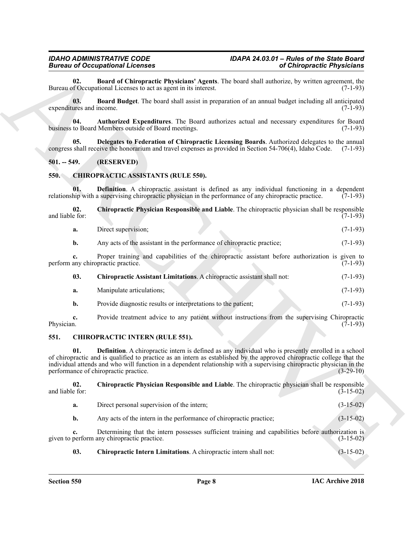<span id="page-7-5"></span>**02. Board of Chiropractic Physicians' Agents**. The board shall authorize, by written agreement, the Bureau of Occupational Licenses to act as agent in its interest.

<span id="page-7-4"></span>**03. Board Budget**. The board shall assist in preparation of an annual budget including all anticipated expenditures and income. (7-1-93)

<span id="page-7-3"></span>**04. Authorized Expenditures**. The Board authorizes actual and necessary expenditures for Board business to Board Members outside of Board meetings.

<span id="page-7-6"></span>**05. Delegates to Federation of Chiropractic Licensing Boards**. Authorized delegates to the annual congress shall receive the honorarium and travel expenses as provided in Section 54-706(4), Idaho Code. (7-1-93)

#### <span id="page-7-0"></span>**501. -- 549. (RESERVED)**

#### <span id="page-7-7"></span><span id="page-7-1"></span>**550. CHIROPRACTIC ASSISTANTS (RULE 550).**

<span id="page-7-10"></span>**01. Definition**. A chiropractic assistant is defined as any individual functioning in a dependent relationship with a supervising chiropractic physician in the performance of any chiropractic practice. (7-1-93)

**02. Chiropractic Physician Responsible and Liable**. The chiropractic physician shall be responsible and liable for: (7-1-93)

<span id="page-7-9"></span>

| a. | Direct supervision: |  |  | $(7-1-93)$ |
|----|---------------------|--|--|------------|
|----|---------------------|--|--|------------|

**b.** Any acts of the assistant in the performance of chiropractic practice; (7-1-93)

**c.** Proper training and capabilities of the chiropractic assistant before authorization is given to any chiropractic practice. (7-1-93) perform any chiropractic practice.

<span id="page-7-8"></span>**03. Chiropractic Assistant Limitations**. A chiropractic assistant shall not: (7-1-93)

- **a.** Manipulate articulations; (7-1-93)
- <span id="page-7-14"></span>**b.** Provide diagnostic results or interpretations to the patient; (7-1-93)

**c.** Provide treatment advice to any patient without instructions from the supervising Chiropractic Physician. (7-1-93) Physician.  $(7-1-93)$ 

#### <span id="page-7-11"></span><span id="page-7-2"></span>**551. CHIROPRACTIC INTERN (RULE 551).**

Bureau of Comparisonnia International Assets. The board and handel as the matter of the properties  $\frac{1}{2}$  (3)  $\frac{1}{2}$  (3)  $\frac{1}{2}$  (3)  $\frac{1}{2}$  (3)  $\frac{1}{2}$  (3)  $\frac{1}{2}$  (3)  $\frac{1}{2}$  (3)  $\frac{1}{2}$  (3)  $\frac{1}{2}$  **01. Definition**. A chiropractic intern is defined as any individual who is presently enrolled in a school of chiropractic and is qualified to practice as an intern as established by the approved chiropractic college that the individual attends and who will function in a dependent relationship with a supervising chiropractic physician in the performance of chiropractic practice.

**02. Chiropractic Physician Responsible and Liable**. The chiropractic physician shall be responsible and liable for:  $(3-15-02)$ 

<span id="page-7-13"></span>**a.** Direct personal supervision of the intern; (3-15-02)

**b.** Any acts of the intern in the performance of chiropractic practice; (3-15-02)

**c.** Determining that the intern possesses sufficient training and capabilities before authorization is given to perform any chiropractic practice. (3-15-02)

<span id="page-7-12"></span>**03. Chiropractic Intern Limitations**. A chiropractic intern shall not: (3-15-02)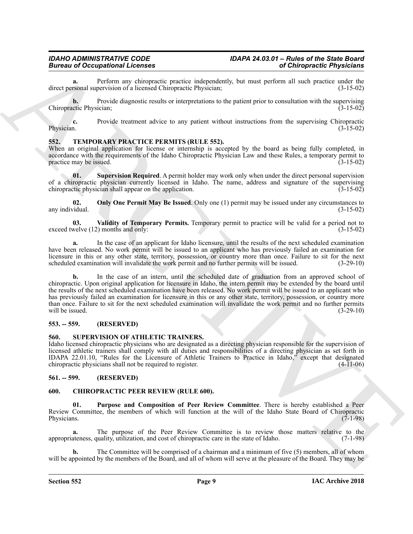**a.** Perform any chiropractic practice independently, but must perform all such practice under the rsonal supervision of a licensed Chiropractic Physician: (3-15-02) direct personal supervision of a licensed Chiropractic Physician;

**b.** Provide diagnostic results or interpretations to the patient prior to consultation with the supervising Chiropractic Physician; (3-15-02)

**c.** Provide treatment advice to any patient without instructions from the supervising Chiropractic Physician. (3-15-02) Physician. (3-15-02)

#### <span id="page-8-8"></span><span id="page-8-0"></span>**552. TEMPORARY PRACTICE PERMITS (RULE 552).**

When an original application for license or internship is accepted by the board as being fully completed, in accordance with the requirements of the Idaho Chiropractic Physician Law and these Rules, a temporary permit to practice may be issued. (3-15-02) practice may be issued.

<span id="page-8-10"></span>**01.** Supervision Required. A permit holder may work only when under the direct personal supervision of a chiropractic physician currently licensed in Idaho. The name, address and signature of the supervising chiropractic physician shall appear on the application. (3-15-02) chiropractic physician shall appear on the application.

<span id="page-8-9"></span>**02. Only One Permit May Be Issued**. Only one (1) permit may be issued under any circumstances to any individual.  $(3-15-02)$ 

<span id="page-8-11"></span>**03.** Validity of Temporary Permits. Temporary permit to practice will be valid for a period not to welve (12) months and only: (3-15-02) exceed twelve  $(12)$  months and only:

**a.** In the case of an applicant for Idaho licensure, until the results of the next scheduled examination have been released. No work permit will be issued to an applicant who has previously failed an examination for licensure in this or any other state, territory, possession, or country more than once. Failure to sit for the next scheduled examination will invalidate the work permit and no further permits will be issued.  $(3-29-10)$ scheduled examination will invalidate the work permit and no further permits will be issued.

**Example of the contract interaction of the contract interaction of the contract interaction of the contract interaction of the contract interaction of the contract interaction of the contract interaction of the contract b.** In the case of an intern, until the scheduled date of graduation from an approved school of chiropractic. Upon original application for licensure in Idaho, the intern permit may be extended by the board until the results of the next scheduled examination have been released. No work permit will be issued to an applicant who has previously failed an examination for licensure in this or any other state, territory, possession, or country more than once. Failure to sit for the next scheduled examination will invalidate the work permit and no further permits will be issued. (3-29-10) will be issued.  $(3-29-10)$ 

#### <span id="page-8-1"></span>**553. -- 559. (RESERVED)**

#### <span id="page-8-7"></span><span id="page-8-2"></span>**560. SUPERVISION OF ATHLETIC TRAINERS.**

Idaho licensed chiropractic physicians who are designated as a directing physician responsible for the supervision of licensed athletic trainers shall comply with all duties and responsibilities of a directing physician as set forth in IDAPA 22.01.10, "Rules for the Licensure of Athletic Trainers to Practice in Idaho," except that designated chiropractic physicians shall not be required to register. (4-11-06)

#### <span id="page-8-3"></span>**561. -- 599. (RESERVED)**

#### <span id="page-8-5"></span><span id="page-8-4"></span>**600. CHIROPRACTIC PEER REVIEW (RULE 600).**

<span id="page-8-6"></span>**01. Purpose and Composition of Peer Review Committee**. There is hereby established a Peer Review Committee, the members of which will function at the will of the Idaho State Board of Chiropractic Physicians.  $(7-1-98)$ 

**a.** The purpose of the Peer Review Committee is to review those matters relative to the appropriateness, quality, utilization, and cost of chiropractic care in the state of Idaho. (7-1-98)

**b.** The Committee will be comprised of a chairman and a minimum of five (5) members, all of whom will be appointed by the members of the Board, and all of whom will serve at the pleasure of the Board. They may be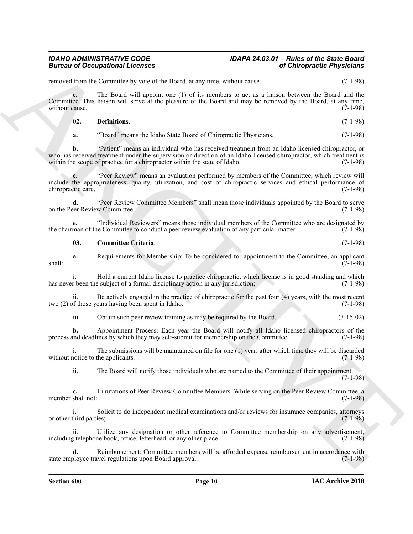### *IDAHO ADMINISTRATIVE CODE IDAPA 24.03.01 – Rules of the State Board*

removed from the Committee by vote of the Board, at any time, without cause. (7-1-98)

**c.** The Board will appoint one (1) of its members to act as a liaison between the Board and the Committee. This liaison will serve at the pleasure of the Board and may be removed by the Board, at any time, without cause. (7-1-98)

<span id="page-9-1"></span>**02. Definitions**. (7-1-98)

**a.** "Board" means the Idaho State Board of Chiropractic Physicians. (7-1-98)

Biomass of Occupations I Leonards<br>
Normal de Comunities by solution and stand, a may have, when  $\alpha$ <br>
Archives the Higherine Comunities of the Archives of the Archives of the Archives of the Biomass of the Biomass of the **b.** "Patient" means an individual who has received treatment from an Idaho licensed chiropractor, or who has received treatment under the supervision or direction of an Idaho licensed chiropractor, which treatment is within the scope of practice for a chiropractor within the state of Idaho. (7-1-98) within the scope of practice for a chiropractor within the state of Idaho.

**c.** "Peer Review" means an evaluation performed by members of the Committee, which review will include the appropriateness, quality, utilization, and cost of chiropractic services and ethical performance of chiropractic care. (7-1-98) chiropractic care.

**d.** "Peer Review Committee Members" shall mean those individuals appointed by the Board to serve eer Review Committee. (7-1-98) on the Peer Review Committee.

**e.** "Individual Reviewers" means those individual members of the Committee who are designated by man of the Committee to conduct a peer review evaluation of any particular matter. (7-1-98) the chairman of the Committee to conduct a peer review evaluation of any particular matter.

<span id="page-9-0"></span>**03. Committee Criteria**. (7-1-98)

**a.** Requirements for Membership: To be considered for appointment to the Committee, an applicant (7-1-98)  $\frac{7}{7}$ -1-98)

i. Hold a current Idaho license to practice chiropractic, which license is in good standing and which has never been the subject of a formal disciplinary action in any jurisdiction; (7-1-98)

ii. Be actively engaged in the practice of chiropractic for the past four (4) years, with the most recent two (2) of those years having been spent in Idaho. (7-1-98)

iii. Obtain such peer review training as may be required by the Board. (3-15-02)

**b.** Appointment Process: Each year the Board will notify all Idaho licensed chiropractors of the process and deadlines by which they may self-submit for membership on the Committee. (7-1-98)

i. The submissions will be maintained on file for one (1) year; after which time they will be discarded without notice to the applicants. (7-1-98)

ii. The Board will notify those individuals who are named to the Committee of their appointment. (7-1-98)

**c.** Limitations of Peer Review Committee Members. While serving on the Peer Review Committee, a member shall not: (7-1-98)

i. Solicit to do independent medical examinations and/or reviews for insurance companies, attorneys or other third parties; (7-1-98)

ii. Utilize any designation or other reference to Committee membership on any advertisement, including telephone book, office, letterhead, or any other place. (7-1-98)

**d.** Reimbursement: Committee members will be afforded expense reimbursement in accordance with state employee travel regulations upon Board approval. (7-1-98)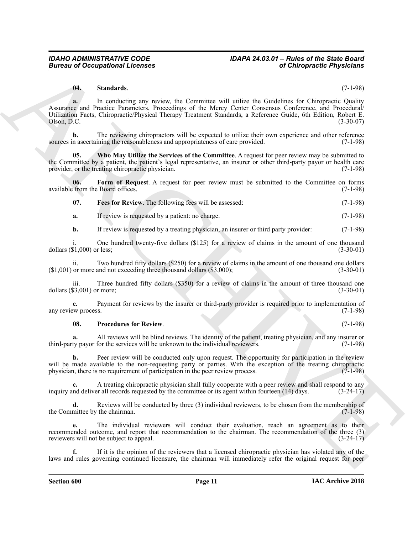#### <span id="page-10-3"></span>**04. Standards**. (7-1-98)

Bureau of Occupations I. Fernando and the server that is the Content of Chiefspreise Physicisms<br>
(a) Sometimes are received by the Committee will define the Guideline for Chiefspreise Could<br>
Archives Excellent Physicisms **a.** In conducting any review, the Committee will utilize the Guidelines for Chiropractic Quality Assurance and Practice Parameters, Proceedings of the Mercy Center Consensus Conference, and Procedural/ Utilization Facts, Chiropractic/Physical Therapy Treatment Standards, a Reference Guide, 6th Edition, Robert E.  $Olson, D.C.$  (3-30-07)

**b.** The reviewing chiropractors will be expected to utilize their own experience and other reference sources in ascertaining the reasonableness and appropriateness of care provided. (7-1-98)

<span id="page-10-4"></span>**05. Who May Utilize the Services of the Committee**. A request for peer review may be submitted to the Committee by a patient, the patient's legal representative, an insurer or other third-party payor or health care provider, or the treating chiropractic physician. (7-1-98)

**06.** Form of Request. A request for peer review must be submitted to the Committee on forms from the Board offices. (7-1-98) available from the Board offices.

<span id="page-10-1"></span><span id="page-10-0"></span>

|  | 07. |  |  | Fees for Review. The following fees will be assessed: | $(7-1-98)$ |  |
|--|-----|--|--|-------------------------------------------------------|------------|--|
|--|-----|--|--|-------------------------------------------------------|------------|--|

**a.** If review is requested by a patient: no charge. (7-1-98)

**b.** If review is requested by a treating physician, an insurer or third party provider: (7-1-98)

One hundred twenty-five dollars (\$125) for a review of claims in the amount of one thousand r less:  $(3-30-01)$ dollars  $(\$1,000)$  or less;

ii. Two hundred fifty dollars (\$250) for a review of claims in the amount of one thousand one dollars or more and not exceeding three thousand dollars (\$3,000); (3-30-01)  $(1,001)$  or more and not exceeding three thousand dollars  $(3,000)$ ;

iii. Three hundred fifty dollars (\$350) for a review of claims in the amount of three thousand one dollars (\$3,001) or more; (3-30-01)

**c.** Payment for reviews by the insurer or third-party provider is required prior to implementation of  $(7-1-98)$ any review process.

#### <span id="page-10-2"></span>**08. Procedures for Review**. (7-1-98)

**a.** All reviews will be blind reviews. The identity of the patient, treating physician, and any insurer or ty payor for the services will be unknown to the individual reviewers. (7-1-98) third-party payor for the services will be unknown to the individual reviewers.

**b.** Peer review will be conducted only upon request. The opportunity for participation in the review will be made available to the non-requesting party or parties. With the exception of the treating chiropractic physician, there is no requirement of participation in the peer review process. (7-1-98) physician, there is no requirement of participation in the peer review process.

**c.** A treating chiropractic physician shall fully cooperate with a peer review and shall respond to any inquiry and deliver all records requested by the committee or its agent within fourteen (14) days. (3-24-17)

**d.** Reviews will be conducted by three (3) individual reviewers, to be chosen from the membership of mittee by the chairman. (7-1-98) the Committee by the chairman.

**e.** The individual reviewers will conduct their evaluation, reach an agreement as to their recommended outcome, and report that recommendation to the chairman. The recommendation of the three (3) reviewers will not be subject to appeal. (3-24-17)

**f.** If it is the opinion of the reviewers that a licensed chiropractic physician has violated any of the laws and rules governing continued licensure, the chairman will immediately refer the original request for peer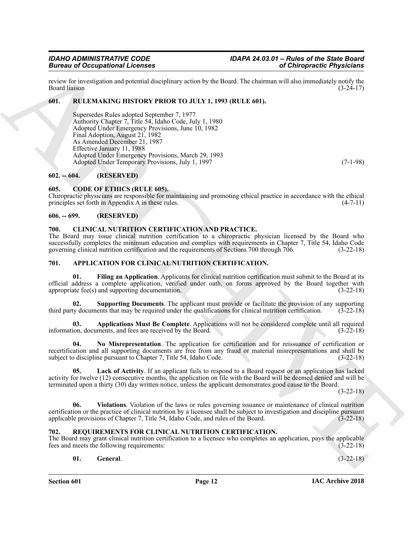review for investigation and potential disciplinary action by the Board. The chairman will also immediately notify the Board liaison (3-24-17)

#### <span id="page-11-0"></span>**601. RULEMAKING HISTORY PRIOR TO JULY 1, 1993 (RULE 601).**

**Branch of Occupations I. Leonard Company and the particle and the material of Chiresprencie Physicisms<br>
Reserve Material Company is the Branch of the Branch of the Branch of the Branch of the State Company and the materi** Supersedes Rules adopted September 7, 1977 Authority Chapter 7, Title 54, Idaho Code, July 1, 1980 Adopted Under Emergency Provisions, June 10, 1982 Final Adoption, August 21, 1982 As Amended December 21, 1987 Effective January 11, 1988 Adopted Under Emergency Provisions, March 29, 1993 Adopted Under Temporary Provisions, July 1, 1997 (7-1-98)

#### <span id="page-11-1"></span>**602. -- 604. (RESERVED)**

#### <span id="page-11-15"></span><span id="page-11-2"></span>**605. CODE OF ETHICS (RULE 605).**

Chiropractic physicians are responsible for maintaining and promoting ethical practice in accordance with the ethical principles set forth in Appendix A in these rules. (4-7-11)

#### <span id="page-11-3"></span>**606. -- 699. (RESERVED)**

#### <span id="page-11-14"></span><span id="page-11-4"></span>**700. CLINICAL NUTRITION CERTIFICATION AND PRACTICE.**

The Board may issue clinical nutrition certification to a chiropractic physician licensed by the Board who successfully completes the minimum education and complies with requirements in Chapter 7, Title 54, Idaho Code governing clinical nutrition certification and the requirements of Sections 700 through 706. (3-22-18) governing clinical nutrition certification and the requirements of Sections 700 through 706.

#### <span id="page-11-9"></span><span id="page-11-7"></span><span id="page-11-5"></span>**701. APPLICATION FOR CLINICAL NUTRITION CERTIFICATION.**

**01. Filing an Application**. Applicants for clinical nutrition certification must submit to the Board at its official address a complete application, verified under oath, on forms approved by the Board together with appropriate fee(s) and supporting documentation.  $(3-22-18)$ 

<span id="page-11-12"></span>**02. Supporting Documents**. The applicant must provide or facilitate the provision of any supporting ty documents that may be required under the qualifications for clinical nutrition certification. (3-22-18) third party documents that may be required under the qualifications for clinical nutrition certification.

<span id="page-11-8"></span>**03. Applications Must Be Complete**. Applications will not be considered complete until all required information, documents, and fees are received by the Board. (3-22-18)

<span id="page-11-11"></span>**04. No Misrepresentation**. The application for certification and for reissuance of certification or recertification and all supporting documents are free from any fraud or material misrepresentations and shall be subject to discipline pursuant to Chapter 7, Title 54, Idaho Code. (3-22-18)

<span id="page-11-10"></span>**05. Lack of Activity**. If an applicant fails to respond to a Board request or an application has lacked activity for twelve (12) consecutive months, the application on file with the Board will be deemed denied and will be terminated upon a thirty (30) day written notice, unless the applicant demonstrates good cause to the Board.

(3-22-18)

<span id="page-11-13"></span>**06. Violations**. Violation of the laws or rules governing issuance or maintenance of clinical nutrition certification or the practice of clinical nutrition by a licensee shall be subject to investigation and discipline pursuant applicable provisions of Chapter 7, Title 54, Idaho Code, and rules of the Board. (3-22-18)

#### <span id="page-11-16"></span><span id="page-11-6"></span>**702. REQUIREMENTS FOR CLINICAL NUTRITION CERTIFICATION.**

The Board may grant clinical nutrition certification to a licensee who completes an application, pays the applicable fees and meets the following requirements: (3-22-18) fees and meets the following requirements:

#### <span id="page-11-17"></span>**01. General**. (3-22-18)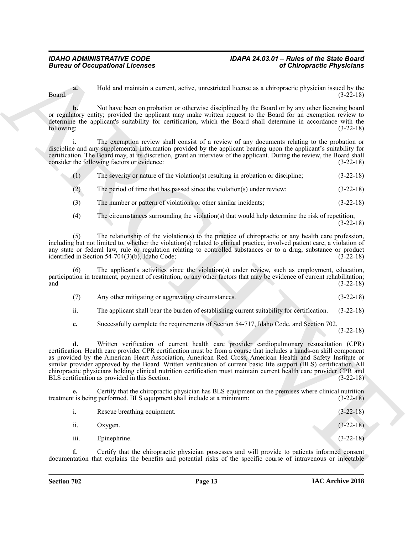**a.** Hold and maintain a current, active, unrestricted license as a chiropractic physician issued by the  $Board.$  (3-22-18)

**b.** Not have been on probation or otherwise disciplined by the Board or by any other licensing board or regulatory entity; provided the applicant may make written request to the Board for an exemption review to determine the applicant's suitability for certification, which the Board shall determine in accordance with the following: (3-22-18)

The exemption review shall consist of a review of any documents relating to the probation or discipline and any supplemental information provided by the applicant bearing upon the applicant's suitability for certification. The Board may, at its discretion, grant an interview of the applicant. During the review, the Board shall consider the following factors or evidence:

| (1) |  | The severity or nature of the violation(s) resulting in probation or discipline; | $(3-22-18)$ |
|-----|--|----------------------------------------------------------------------------------|-------------|
|-----|--|----------------------------------------------------------------------------------|-------------|

- (2) The period of time that has passed since the violation(s) under review; (3-22-18)
- (3) The number or pattern of violations or other similar incidents; (3-22-18)
- (4) The circumstances surrounding the violation(s) that would help determine the risk of repetition; (3-22-18)

(5) The relationship of the violation(s) to the practice of chiropractic or any health care profession, including but not limited to, whether the violation(s) related to clinical practice, involved patient care, a violation of any state or federal law, rule or regulation relating to controlled substances or to a drug, substance or product identified in Section 54-704(3)(b), Idaho Code;  $(3-22-18)$ 

The applicant's activities since the violation(s) under review, such as employment, education, participation in treatment, payment of restitution, or any other factors that may be evidence of current rehabilitation;  $(3-22-18)$ 

(7) Any other mitigating or aggravating circumstances. (3-22-18)

ii. The applicant shall bear the burden of establishing current suitability for certification. (3-22-18)

**c.** Successfully complete the requirements of Section 54-717, Idaho Code, and Section 702.

(3-22-18)

Bureau of Occupations I. Leonards<br>
The Unit are the state of the state of the state of the state of the state of the state of the state of the state of the state of the state of the state of the state of the state of the **d.** Written verification of current health care provider cardiopulmonary resuscitation (CPR) certification. Health care provider CPR certification must be from a course that includes a hands-on skill component as provided by the American Heart Association, American Red Cross, American Health and Safety Institute or similar provider approved by the Board. Written verification of current basic life support (BLS) certification. All chiropractic physicians holding clinical nutrition certification must maintain current health care provider CPR and BLS certification as provided in this Section. (3-22-18)

**e.** Certify that the chiropractic physician has BLS equipment on the premises where clinical nutrition treatment is being performed. BLS equipment shall include at a minimum: (3-22-18)

|      | Rescue breathing equipment. | $(3-22-18)$ |
|------|-----------------------------|-------------|
| ii.  | Oxygen.                     | $(3-22-18)$ |
| iii. | Epinephrine.                | $(3-22-18)$ |

**f.** Certify that the chiropractic physician possesses and will provide to patients informed consent documentation that explains the benefits and potential risks of the specific course of intravenous or injectable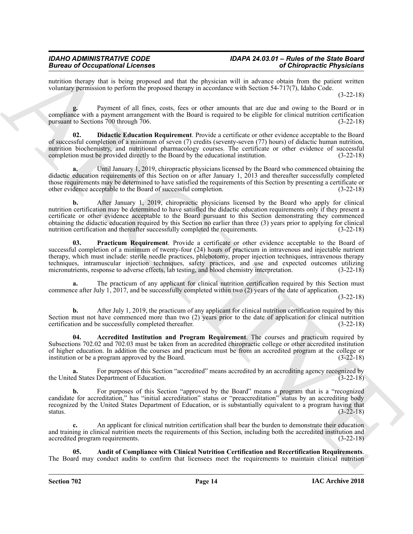nutrition therapy that is being proposed and that the physician will in advance obtain from the patient written voluntary permission to perform the proposed therapy in accordance with Section 54-717(7), Idaho Code.

(3-22-18)

**g.** Payment of all fines, costs, fees or other amounts that are due and owing to the Board or in compliance with a payment arrangement with the Board is required to be eligible for clinical nutrition certification pursuant to Sections  $700$  through  $706$ .

<span id="page-13-2"></span>**02. Didactic Education Requirement**. Provide a certificate or other evidence acceptable to the Board of successful completion of a minimum of seven (7) credits (seventy-seven (77) hours) of didactic human nutrition, nutrition biochemistry, and nutritional pharmacology courses. The certificate or other evidence of successful completion must be provided directly to the Board by the educational institution. (3-22-18)

**a.** Until January 1, 2019, chiropractic physicians licensed by the Board who commenced obtaining the didactic education requirements of this Section on or after January 1, 2013 and thereafter successfully completed those requirements may be determined to have satisfied the requirements of this Section by presenting a certificate or other evidence acceptable to the Board of successful completion. (3-22-18)

Because of George Roman Mechanism and the summarization of Chinese constitution of Chinese Chinese Chinese Chinese Chinese Chinese Chinese Chinese Chinese Chinese Chinese Chinese Chinese Chinese Chinese Chinese Chinese Ch **b.** After January 1, 2019, chiropractic physicians licensed by the Board who apply for clinical nutrition certification may be determined to have satisfied the didactic education requirements only if they present a certificate or other evidence acceptable to the Board pursuant to this Section demonstrating they commenced obtaining the didactic education required by this Section no earlier than three (3) years prior to applying for clinical nutrition certification and thereafter successfully completed the requirements.

<span id="page-13-3"></span>**03. Practicum Requirement**. Provide a certificate or other evidence acceptable to the Board of successful completion of a minimum of twenty-four (24) hours of practicum in intravenous and injectable nutrient therapy, which must include: sterile needle practices, phlebotomy, proper injection techniques, intravenous therapy techniques, intramuscular injection techniques, safety practices, and use and expected outcomes utilizing micronutrients, response to adverse effects, lab testing, and blood chemistry interpretation. (3-22-18)

**a.** The practicum of any applicant for clinical nutrition certification required by this Section must commence after July 1, 2017, and be successfully completed within two (2) years of the date of application.

(3-22-18)

**b.** After July 1, 2019, the practicum of any applicant for clinical nutrition certification required by this Section must not have commenced more than two (2) years prior to the date of application for clinical nutrition certification and be successfully completed thereafter. (3-22-18)

<span id="page-13-0"></span>**04. Accredited Institution and Program Requirement**. The courses and practicum required by Subsections 702.02 and 702.03 must be taken from an accredited chiropractic college or other accredited institution of higher education. In addition the courses and practicum must be from an accredited program at the college or institution or be a program approved by the Board. (3-22-18)

**a.** For purposes of this Section "accredited" means accredited by an accrediting agency recognized by the United States Department of Education. (3-22-18)

**b.** For purposes of this Section "approved by the Board" means a program that is a "recognized candidate for accreditation," has "initial accreditation" status or "preaccreditation" status by an accrediting body recognized by the United States Department of Education, or is substantially equivalent to a program having that status. (3-22-18) status.  $(3-22-18)$ 

**c.** An applicant for clinical nutrition certification shall bear the burden to demonstrate their education and training in clinical nutrition meets the requirements of this Section, including both the accredited institution and accredited program requirements. (3-22-18)

<span id="page-13-1"></span>**05. Audit of Compliance with Clinical Nutrition Certification and Recertification Requirements**. The Board may conduct audits to confirm that licensees meet the requirements to maintain clinical nutrition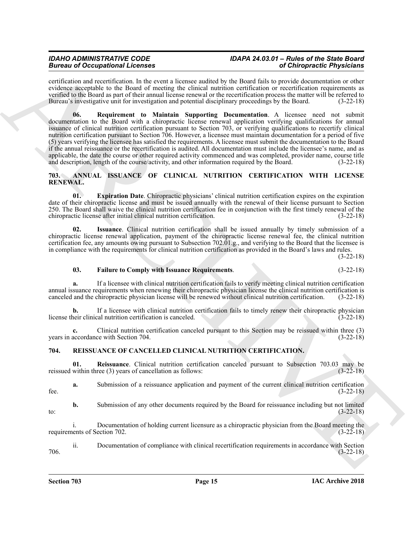### *IDAHO ADMINISTRATIVE CODE IDAPA 24.03.01 – Rules of the State Board*

<span id="page-14-8"></span>certification and recertification. In the event a licensee audited by the Board fails to provide documentation or other evidence acceptable to the Board of meeting the clinical nutrition certification or recertification requirements as verified to the Board as part of their annual license renewal or the recertification process the matter will be referred to Bureau's investigative unit for investigation and potential disciplinary proceedings by the Board. (3-22-18)

**Brainway of Comparison in the case of the case of the case of College Control in the case of the case of the case of the case of the case of the case of the case of the case of the case of the case of the case of the cas 06. Requirement to Maintain Supporting Documentation**. A licensee need not submit documentation to the Board with a chiropractic license renewal application verifying qualifications for annual issuance of clinical nutrition certification pursuant to Section 703, or verifying qualifications to recertify clinical nutrition certification pursuant to Section 706. However, a licensee must maintain documentation for a period of five (5) years verifying the licensee has satisfied the requirements. A licensee must submit the documentation to the Board if the annual reissuance or the recertification is audited. All documentation must include the licensee's name, and as applicable, the date the course or other required activity commenced and was completed, provider name, course title<br>and description, length of the course/activity, and other information required by the Board. (3-22-18) and description, length of the course/activity, and other information required by the Board.

#### <span id="page-14-2"></span><span id="page-14-0"></span>**703. ANNUAL ISSUANCE OF CLINICAL NUTRITION CERTIFICATION WITH LICENSE RENEWAL.**

<span id="page-14-3"></span>**01. Expiration Date**. Chiropractic physicians' clinical nutrition certification expires on the expiration date of their chiropractic license and must be issued annually with the renewal of their license pursuant to Section 250. The Board shall waive the clinical nutrition certification fee in conjunction with the first timely renewal of the chiropractic license after initial clinical nutrition certification. (3-22-18)

<span id="page-14-5"></span>**02. Issuance**. Clinical nutrition certification shall be issued annually by timely submission of a chiropractic license renewal application, payment of the chiropractic license renewal fee, the clinical nutrition certification fee, any amounts owing pursuant to Subsection 702.01.g., and verifying to the Board that the licensee is in compliance with the requirements for clinical nutrition certification as provided in the Board's laws and rules.

(3-22-18)

#### <span id="page-14-4"></span>**03. Failure to Comply with Issuance Requirements**. (3-22-18)

**a.** If a licensee with clinical nutrition certification fails to verify meeting clinical nutrition certification annual issuance requirements when renewing their chiropractic physician license the clinical nutrition certification is canceled and the chiropractic physician license will be renewed without clinical nutrition certification. (3-22-18)

**b.** If a licensee with clinical nutrition certification fails to timely renew their chiropractic physician license their clinical nutrition certification is canceled. (3-22-18)

**c.** Clinical nutrition certification canceled pursuant to this Section may be reissued within three (3) years in accordance with Section 704. (3-22-18)

#### <span id="page-14-7"></span><span id="page-14-6"></span><span id="page-14-1"></span>**704. REISSUANCE OF CANCELLED CLINICAL NUTRITION CERTIFICATION.**

**01.** Reissuance. Clinical nutrition certification canceled pursuant to Subsection 703.03 may be within three (3) years of cancellation as follows: (3-22-18) reissued within three  $(3)$  years of cancellation as follows:

**a.** Submission of a reissuance application and payment of the current clinical nutrition certification fee.  $(3-22-18)$ 

**b.** Submission of any other documents required by the Board for reissuance including but not limited (3-22-18) to:  $(3-22-18)$ 

i. Documentation of holding current licensure as a chiropractic physician from the Board meeting the requirements of Section 702.  $(3-22-18)$ 

ii. Documentation of compliance with clinical recertification requirements in accordance with Section 706. (3-22-18)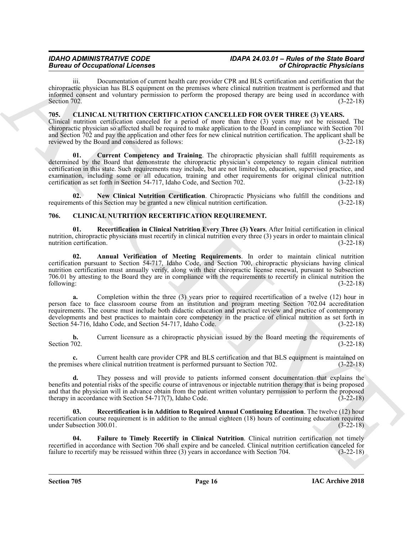## *IDAHO ADMINISTRATIVE CODE IDAPA 24.03.01 – Rules of the State Board*

iii. Documentation of current health care provider CPR and BLS certification and certification that the chiropractic physician has BLS equipment on the premises where clinical nutrition treatment is performed and that informed consent and voluntary permission to perform the proposed therapy are being used in accordance with Section 702. (3-22-18)

#### <span id="page-15-2"></span><span id="page-15-0"></span>**705. CLINICAL NUTRITION CERTIFICATION CANCELLED FOR OVER THREE (3) YEARS.**

<span id="page-15-3"></span>Clinical nutrition certification canceled for a period of more than three (3) years may not be reissued. The chiropractic physician so affected shall be required to make application to the Board in compliance with Section 701 and Section 702 and pay the application and other fees for new clinical nutrition certification. The applicant shall be reviewed by the Board and considered as follows: (3-22-18)

Bureau and Conception and the same of the same of the same of Chinamics and the same of the same of the same of the same of the same of the same of the same of the same of the same of the same of the same of the same of t **01. Current Competency and Training**. The chiropractic physician shall fulfill requirements as determined by the Board that demonstrate the chiropractic physician's competency to regain clinical nutrition certification in this state. Such requirements may include, but are not limited to, education, supervised practice, and examination, including some or all education, training and other requirements for original clinical nutrition certification as set forth in Section 54-717, Idaho Code, and Section 702.  $(3-22-18)$ 

<span id="page-15-4"></span>**02. New Clinical Nutrition Certification**. Chiropractic Physicians who fulfill the conditions and requirements of this Section may be granted a new clinical nutrition certification. (3-22-18)

#### <span id="page-15-5"></span><span id="page-15-1"></span>**706. CLINICAL NUTRITION RECERTIFICATION REQUIREMENT.**

<span id="page-15-8"></span>**01. Recertification in Clinical Nutrition Every Three (3) Years**. After Initial certification in clinical nutrition, chiropractic physicians must recertify in clinical nutrition every three (3) years in order to maintain clinical nutrition certification. (3-22-18)

<span id="page-15-6"></span>**02. Annual Verification of Meeting Requirements**. In order to maintain clinical nutrition certification pursuant to Section 54-717, Idaho Code, and Section 700, chiropractic physicians having clinical nutrition certification must annually verify, along with their chiropractic license renewal, pursuant to Subsection 706.01 by attesting to the Board they are in compliance with the requirements to recertify in clinical nutrition the following: (3-22-18)

**a.** Completion within the three (3) years prior to required recertification of a twelve (12) hour in person face to face classroom course from an institution and program meeting Section 702.04 accreditation requirements. The course must include both didactic education and practical review and practice of contemporary developments and best practices to maintain core competency in the practice of clinical nutrition as set forth in Section 54-716, Idaho Code, and Section 54-717, Idaho Code. (3-22-18)

**b.** Current licensure as a chiropractic physician issued by the Board meeting the requirements of Section 702. (3-22-18) Section 702. (3-22-18)

**c.** Current health care provider CPR and BLS certification and that BLS equipment is maintained on the premises where clinical nutrition treatment is performed pursuant to Section 702. (3-22-18)

**d.** They possess and will provide to patients informed consent documentation that explains the benefits and potential risks of the specific course of intravenous or injectable nutrition therapy that is being proposed and that the physician will in advance obtain from the patient written voluntary permission to perform the proposed therapy in accordance with Section 54-717(7), Idaho Code. (3-22-18)

<span id="page-15-9"></span>**03. Recertification is in Addition to Required Annual Continuing Education**. The twelve (12) hour recertification course requirement is in addition to the annual eighteen (18) hours of continuing education required under Subsection 300.01. (3-22-18)

<span id="page-15-7"></span>**04. Failure to Timely Recertify in Clinical Nutrition**. Clinical nutrition certification not timely recertified in accordance with Section 706 shall expire and be canceled. Clinical nutrition certification canceled for failure to recertify may be reissued within three (3) years in accordance with Section 704. (3-22-18)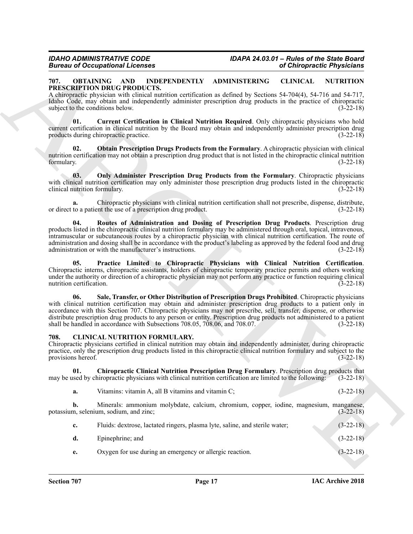#### <span id="page-16-4"></span><span id="page-16-0"></span>**707. OBTAINING AND INDEPENDENTLY ADMINISTERING CLINICAL NUTRITION PRESCRIPTION DRUG PRODUCTS.**

A chiropractic physician with clinical nutrition certification as defined by Sections 54-704(4), 54-716 and 54-717, Idaho Code, may obtain and independently administer prescription drug products in the practice of chiropractic subject to the conditions below. (3-22-18)

<span id="page-16-5"></span>**01. Current Certification in Clinical Nutrition Required**. Only chiropractic physicians who hold current certification in clinical nutrition by the Board may obtain and independently administer prescription drug products during chiropractic practice. (3-22-18)

<span id="page-16-6"></span>**02. Obtain Prescription Drugs Products from the Formulary**. A chiropractic physician with clinical nutrition certification may not obtain a prescription drug product that is not listed in the chiropractic clinical nutrition formulary.<br>(3-22-18) formulary. (3-22-18)

<span id="page-16-7"></span>**03. Only Administer Prescription Drug Products from the Formulary**. Chiropractic physicians with clinical nutrition certification may only administer those prescription drug products listed in the chiropractic clinical nutrition formulary. (3-22-18) clinical nutrition formulary.

**a.** Chiropractic physicians with clinical nutrition certification shall not prescribe, dispense, distribute, or direct to a patient the use of a prescription drug product. (3-22-18)

<span id="page-16-9"></span>**04. Routes of Administration and Dosing of Prescription Drug Products**. Prescription drug products listed in the chiropractic clinical nutrition formulary may be administered through oral, topical, intravenous, intramuscular or subcutaneous routes by a chiropractic physician with clinical nutrition certification. The route of administration and dosing shall be in accordance with the product's labeling as approved by the federal food and drug administration or with the manufacturer's instructions. (3-22-18) administration or with the manufacturer's instructions.

<span id="page-16-10"></span><span id="page-16-8"></span>**05. Practice Limited to Chiropractic Physicians with Clinical Nutrition Certification**. Chiropractic interns, chiropractic assistants, holders of chiropractic temporary practice permits and others working under the authority or direction of a chiropractic physician may not perform any practice or function requiring clinical nutrition certification. (3-22-18) nutrition certification.

Given the Company Constraints of Chinesensis (at Chinesensis Physicis)<br>
THE CHINERAL MOUNTED ADMINISTRATE ADMINISTRATE AND INSTRATE (at CHINERAL MOUNTED AND TRANSPORT (at CHINERAL MOUNTED ASSESS)<br>
ARCHIVER CONSTRUCTION (a **06. Sale, Transfer, or Other Distribution of Prescription Drugs Prohibited**. Chiropractic physicians with clinical nutrition certification may obtain and administer prescription drug products to a patient only in accordance with this Section 707. Chiropractic physicians may not prescribe, sell, transfer, dispense, or otherwise distribute prescription drug products to any person or entity. Prescription drug products not administered to a patient shall be handled in accordance with Subsections 708.05, 708.06, and 708.07. (3-22-18) shall be handled in accordance with Subsections  $708.05$ ,  $708.06$ , and  $708.07$ .

#### <span id="page-16-2"></span><span id="page-16-1"></span>**708. CLINICAL NUTRITION FORMULARY.**

Chiropractic physicians certified in clinical nutrition may obtain and independently administer, during chiropractic practice, only the prescription drug products listed in this chiropractic clinical nutrition formulary and subject to the provisions hereof. (3-22-18)

**01. Chiropractic Clinical Nutrition Prescription Drug Formulary**. Prescription drug products that may be used by chiropractic physicians with clinical nutrition certification are limited to the following: (3-22-18)

<span id="page-16-3"></span>**a.** Vitamins: vitamin A, all B vitamins and vitamin C; (3-22-18)

**b.** Minerals: ammonium molybdate, calcium, chromium, copper, iodine, magnesium, manganese, m, selenium, sodium, and zinc; potassium, selenium, sodium, and zinc;

| $c_{\cdot}$ | Fluids: dextrose, lactated ringers, plasma lyte, saline, and sterile water; | $(3-22-18)$ |
|-------------|-----------------------------------------------------------------------------|-------------|
| d.          | Epinephrine; and                                                            | $(3-22-18)$ |
|             | Oxygen for use during an emergency or allergic reaction.                    | $(3-22-18)$ |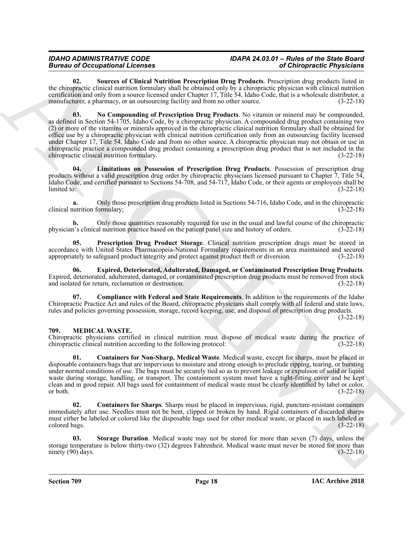## *IDAHO ADMINISTRATIVE CODE IDAPA 24.03.01 – Rules of the State Board*

<span id="page-17-6"></span><span id="page-17-4"></span>**02. Sources of Clinical Nutrition Prescription Drug Products**. Prescription drug products listed in the chiropractic clinical nutrition formulary shall be obtained only by a chiropractic physician with clinical nutrition certification and only from a source licensed under Chapter 17, Title 54, Idaho Code, that is a wholesale distributor, a manufacturer, a pharmacy, or an outsourcing facility and from no other source. (3-22-18)

Brown and Companies allows the strengthen lang Particular School of Orientation (1972) and the strengthen the strengthen the strengthen the strengthen and the strengthen of the strengthen and the strengthen of the strengt **03. No Compounding of Prescription Drug Products**. No vitamin or mineral may be compounded, as defined in Section 54-1705, Idaho Code, by a chiropractic physician. A compounded drug product containing two (2) or more of the vitamins or minerals approved in the chiropractic clinical nutrition formulary shall be obtained for office use by a chiropractic physician with clinical nutrition certification only from an outsourcing facility licensed under Chapter 17, Title 54, Idaho Code and from no other source. A chiropractic physician may not obtain or use in chiropractic practice a compounded drug product containing a prescription drug product that is not included in the chiropractic clinical nutrition formulary. (3-22-18)

<span id="page-17-3"></span>**04. Limitations on Possession of Prescription Drug Products**. Possession of prescription drug products without a valid prescription drug order by chiropractic physicians licensed pursuant to Chapter 7, Title 54, Idaho Code, and certified pursuant to Sections 54-708, and 54-717, Idaho Code, or their agents or employees shall be limited to: (3-22-18)

**a.** Only those prescription drug products listed in Sections 54-716, Idaho Code, and in the chiropractic clinical nutrition formulary; (3-22-18)

**b.** Only those quantities reasonably required for use in the usual and lawful course of the chiropractic or a contraction practice based on the patient panel size and history of orders.  $(3-22-18)$ physician's clinical nutrition practice based on the patient panel size and history of orders.

<span id="page-17-5"></span>**05. Prescription Drug Product Storage**. Clinical nutrition prescription drugs must be stored in accordance with United States Pharmacopeia-National Formulary requirements in an area maintained and secured appropriately to safeguard product integrity and protect against product theft or diversion. (3-22-18)

<span id="page-17-2"></span>**06. Expired, Deteriorated, Adulterated, Damaged, or Contaminated Prescription Drug Products**. Expired, deteriorated, adulterated, damaged, or contaminated prescription drug products must be removed from stock and isolated for return, reclamation or destruction. (3-22-18)

<span id="page-17-1"></span>**07. Compliance with Federal and State Requirements**. In addition to the requirements of the Idaho Chiropractic Practice Act and rules of the Board, chiropractic physicians shall comply with all federal and state laws, rules and policies governing possession, storage, record keeping, use, and disposal of prescription drug products.

(3-22-18)

#### <span id="page-17-7"></span><span id="page-17-0"></span>**709. MEDICAL WASTE.**

Chiropractic physicians certified in clinical nutrition must dispose of medical waste during the practice of chiropractic clinical nutrition according to the following protocol: (3-22-18) chiropractic clinical nutrition according to the following protocol:

<span id="page-17-8"></span>**01. Containers for Non-Sharp, Medical Waste**. Medical waste, except for sharps, must be placed in disposable containers/bags that are impervious to moisture and strong enough to preclude ripping, tearing, or bursting under normal conditions of use. The bags must be securely tied so as to prevent leakage or expulsion of solid or liquid waste during storage, handling, or transport. The containment system must have a tight-fitting cover and be kept clean and in good repair. All bags used for containment of medical waste must be clearly identified by label or color,  $(3-22-18)$ 

<span id="page-17-9"></span>**02. Containers for Sharps**. Sharps must be placed in impervious, rigid, puncture-resistant containers immediately after use. Needles must not be bent, clipped or broken by hand. Rigid containers of discarded sharps must either be labeled or colored like the disposable bags used for other medical waste, or placed in such labeled or colored bags. (3-22-18)

<span id="page-17-10"></span>**03. Storage Duration**. Medical waste may not be stored for more than seven (7) days, unless the storage temperature is below thirty-two (32) degrees Fahrenheit. Medical waste must never be stored for more than  $\mu$  ninety (90) days. (3-22-18)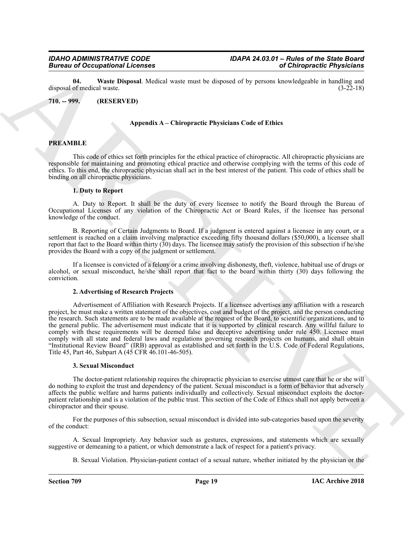<span id="page-18-1"></span>**04. Waste Disposal**. Medical waste must be disposed of by persons knowledgeable in handling and disposal of medical waste.

<span id="page-18-0"></span>**710. -- 999. (RESERVED)**

#### **Appendix A – Chiropractic Physicians Code of Ethics**

#### **PREAMBLE**

This code of ethics set forth principles for the ethical practice of chiropractic. All chiropractic physicians are responsible for maintaining and promoting ethical practice and otherwise complying with the terms of this code of ethics. To this end, the chiropractic physician shall act in the best interest of the patient. This code of ethics shall be binding on all chiropractic physicians.

#### **1. Duty to Report**

A. Duty to Report. It shall be the duty of every licensee to notify the Board through the Bureau of Occupational Licenses of any violation of the Chiropractic Act or Board Rules, if the licensee has personal knowledge of the conduct.

B. Reporting of Certain Judgments to Board. If a judgment is entered against a licensee in any court, or a settlement is reached on a claim involving malpractice exceeding fifty thousand dollars (\$50,000), a licensee shall report that fact to the Board within thirty  $(30)$  days. The licensee may satisfy the provision of this subsection if he/she provides the Board with a copy of the judgment or settlement.

If a licensee is convicted of a felony or a crime involving dishonesty, theft, violence, habitual use of drugs or alcohol, or sexual misconduct, he/she shall report that fact to the board within thirty (30) days following the conviction.

#### **2. Advertising of Research Projects**

Given the system of Comparison of Chinese control in the system of Chinese methods in the system of Chinese control in the system of the system of the system of the system of the system of the system of the system of the Advertisement of Affiliation with Research Projects. If a licensee advertises any affiliation with a research project, he must make a written statement of the objectives, cost and budget of the project, and the person conducting the research. Such statements are to be made available at the request of the Board, to scientific organizations, and to the general public. The advertisement must indicate that it is supported by clinical research. Any willful failure to comply with these requirements will be deemed false and deceptive advertising under rule 450. Licensee must comply with all state and federal laws and regulations governing research projects on humans, and shall obtain "Institutional Review Board" (IRB) approval as established and set forth in the U.S. Code of Federal Regulations, Title 45, Part 46, Subpart A (45 CFR 46.101-46-505).

#### **3. Sexual Misconduct**

The doctor-patient relationship requires the chiropractic physician to exercise utmost care that he or she will do nothing to exploit the trust and dependency of the patient. Sexual misconduct is a form of behavior that adversely affects the public welfare and harms patients individually and collectively. Sexual misconduct exploits the doctorpatient relationship and is a violation of the public trust. This section of the Code of Ethics shall not apply between a chiropractor and their spouse.

For the purposes of this subsection, sexual misconduct is divided into sub-categories based upon the severity of the conduct:

A. Sexual Impropriety. Any behavior such as gestures, expressions, and statements which are sexually suggestive or demeaning to a patient, or which demonstrate a lack of respect for a patient's privacy.

B. Sexual Violation. Physician-patient contact of a sexual nature, whether initiated by the physician or the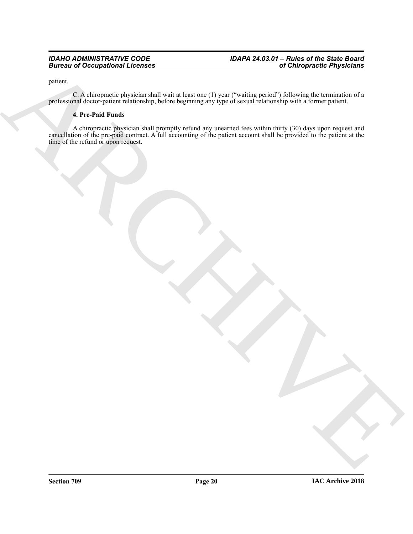#### *IDAHO ADMINISTRATIVE CODE IDAPA 24.03.01 – Rules of the State Board Bureau of Occupational Licenses of Chiropractic Physicians*

patient.

C. A chiropractic physician shall wait at least one (1) year ("waiting period") following the termination of a professional doctor-patient relationship, before beginning any type of sexual relationship with a former patient.

### **4. Pre-Paid Funds**

ARCHIVE A chiropractic physician shall promptly refund any unearned fees within thirty (30) days upon request and cancellation of the pre-paid contract. A full accounting of the patient account shall be provided to the patient at the time of the refund or upon request.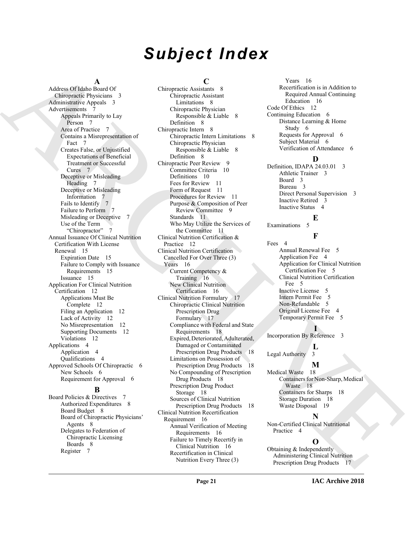## *Subject Index*

#### **A**

Address Of Idaho Board Of Chiropractic Physicians 3 Administrative Appeals 3 Advertisements 7 Appeals Primarily to Lay Person 7 Area of Practice 7 Contains a Misrepresentation of Fact 7 Creates False, or Unjustified Expectations of Beneficial Treatment or Successful Cures 7 Deceptive or Misleading Heading 7 Deceptive or Misleading Information 7 Fails to Identify 7 Failure to Perform 7 Misleading or Deceptive 7 Use of the Term "Chiropractor" 7 Annual Issuance Of Clinical Nutrition Certification With License Renewal 15 Expiration Date 15 Failure to Comply with Issuance Requirements 15 Issuance 15 Application For Clinical Nutrition Certification 12 Applications Must Be Complete 12 Filing an Application 12 Lack of Activity 12 No Misrepresentation 12 Supporting Documents 12 Violations 12 Applications 4 Application 4 Qualifications 4 Approved Schools Of Chiropractic 6 New Schools 6 Requirement for Approval 6

#### **B**

Board Policies & Directives 7 Authorized Expenditures 8 Board Budget 8 Board of Chiropractic Physicians' Agents 8 Delegates to Federation of Chiropractic Licensing Boards 8 Register 7

#### **C**

Adiso Observation Compute Annual Compute and the compute of the compute of the compute of the compute of the compute of the compute of the compute of the compute of the compute of the compute of the compute of the compute Chiropractic Assistants 8 Chiropractic Assistant Limitations 8 Chiropractic Physician Responsible & Liable 8 Definition 8 Chiropractic Intern 8 Chiropractic Intern Limitations 8 Chiropractic Physician Responsible & Liable 8 Definition 8 Chiropractic Peer Review 9 Committee Criteria 10 Definitions 10 Fees for Review 11 Form of Request 11 Procedures for Review 11 Purpose & Composition of Peer Review Committee 9 Standards 11 Who May Utilize the Services of the Committee 11 Clinical Nutrition Certification & Practice 12 Clinical Nutrition Certification Cancelled For Over Three (3) Years 16 Current Competency & Training 16 New Clinical Nutrition Certification 16 Clinical Nutrition Formulary 17 Chiropractic Clinical Nutrition Prescription Drug Formulary 17 Compliance with Federal and State Requirements 18 Expired, Deteriorated, Adulterated, Damaged or Contaminated Prescription Drug Products 18 Limitations on Possession of Prescription Drug Products 18 No Compounding of Prescription Drug Products 18 Prescription Drug Product Storage 18 Sources of Clinical Nutrition Prescription Drug Products 18 Clinical Nutrition Recertification Requirement 16 Annual Verification of Meeting Requirements 16 Failure to Timely Recertify in Clinical Nutrition 16 Recertification in Clinical Nutrition Every Three (3)

Years 16 Recertification is in Addition to Required Annual Continuing Education 16 Code Of Ethics 12 Continuing Education 6 Distance Learning & Home Study 6 Requests for Approval 6 Subject Material 6 Verification of Attendance 6

### **D**

Definition, IDAPA 24.03.01 3 Athletic Trainer 3 Board 3 Bureau 3 Direct Personal Supervision 3 Inactive Retired 3 Inactive Status 4

#### **E**

**F**

Examinations 5

Fees 4 Annual Renewal Fee 5 Application Fee 4 Application for Clinical Nutrition Certification Fee 5 Clinical Nutrition Certification Fee 5 Inactive License 5 Intern Permit Fee 5 Non-Refundable 5 Original License Fee 4 Temporary Permit Fee 5

### **I**

Incorporation By Reference 3

#### **L** Legal Authority 3

**M** Medical Waste 18 Containers for Non-Sharp, Medical Waste 18 Containers for Sharps 18 Storage Duration 18 Waste Disposal 19

### **N**

Non-Certified Clinical Nutritional Practice 4

### **O**

Obtaining & Independently Administering Clinical Nutrition Prescription Drug Products 17